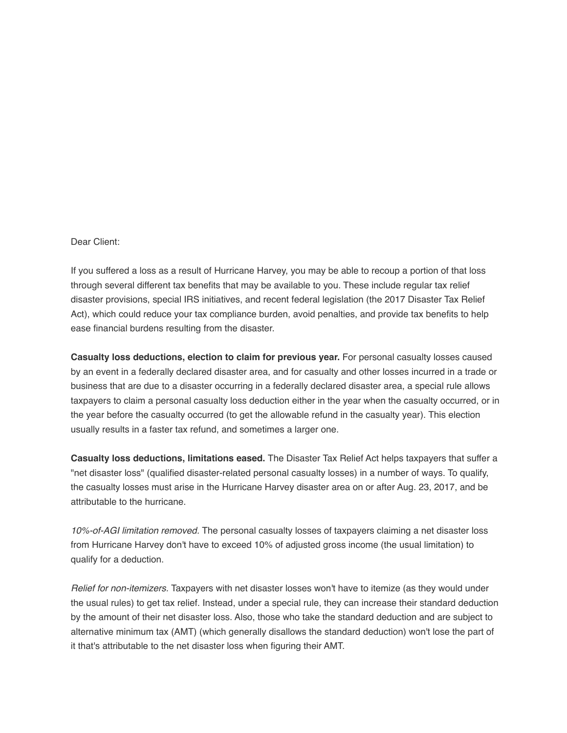Dear Client:

If you suffered a loss as a result of Hurricane Harvey, you may be able to recoup a portion of that loss through several different tax benefits that may be available to you. These include regular tax relief disaster provisions, special IRS initiatives, and recent federal legislation (the 2017 Disaster Tax Relief Act), which could reduce your tax compliance burden, avoid penalties, and provide tax benefits to help ease financial burdens resulting from the disaster.

**Casualty loss deductions, election to claim for previous year.** For personal casualty losses caused by an event in a federally declared disaster area, and for casualty and other losses incurred in a trade or business that are due to a disaster occurring in a federally declared disaster area, a special rule allows taxpayers to claim a personal casualty loss deduction either in the year when the casualty occurred, or in the year before the casualty occurred (to get the allowable refund in the casualty year). This election usually results in a faster tax refund, and sometimes a larger one.

**Casualty loss deductions, limitations eased.** The Disaster Tax Relief Act helps taxpayers that suffer a "net disaster loss" (qualified disaster-related personal casualty losses) in a number of ways. To qualify, the casualty losses must arise in the Hurricane Harvey disaster area on or after Aug. 23, 2017, and be attributable to the hurricane.

*10%-of-AGI limitation removed.* The personal casualty losses of taxpayers claiming a net disaster loss from Hurricane Harvey don't have to exceed 10% of adjusted gross income (the usual limitation) to qualify for a deduction.

*Relief for non-itemizers.* Taxpayers with net disaster losses won't have to itemize (as they would under the usual rules) to get tax relief. Instead, under a special rule, they can increase their standard deduction by the amount of their net disaster loss. Also, those who take the standard deduction and are subject to alternative minimum tax (AMT) (which generally disallows the standard deduction) won't lose the part of it that's attributable to the net disaster loss when figuring their AMT.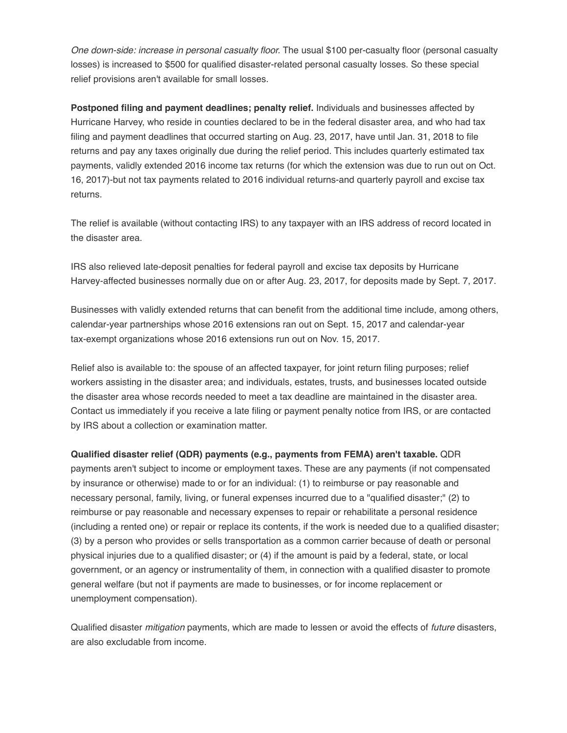*One down-side: increase in personal casualty floor.* The usual \$100 per-casualty floor (personal casualty losses) is increased to \$500 for qualified disaster-related personal casualty losses. So these special relief provisions aren't available for small losses.

**Postponed filing and payment deadlines; penalty relief.** Individuals and businesses affected by Hurricane Harvey, who reside in counties declared to be in the federal disaster area, and who had tax filing and payment deadlines that occurred starting on Aug. 23, 2017, have until Jan. 31, 2018 to file returns and pay any taxes originally due during the relief period. This includes quarterly estimated tax payments, validly extended 2016 income tax returns (for which the extension was due to run out on Oct. 16, 2017)-but not tax payments related to 2016 individual returns-and quarterly payroll and excise tax returns.

The relief is available (without contacting IRS) to any taxpayer with an IRS address of record located in the disaster area.

IRS also relieved late-deposit penalties for federal payroll and excise tax deposits by Hurricane Harvey-affected businesses normally due on or after Aug. 23, 2017, for deposits made by Sept. 7, 2017.

Businesses with validly extended returns that can benefit from the additional time include, among others, calendar-year partnerships whose 2016 extensions ran out on Sept. 15, 2017 and calendar-year tax-exempt organizations whose 2016 extensions run out on Nov. 15, 2017.

Relief also is available to: the spouse of an affected taxpayer, for joint return filing purposes; relief workers assisting in the disaster area; and individuals, estates, trusts, and businesses located outside the disaster area whose records needed to meet a tax deadline are maintained in the disaster area. Contact us immediately if you receive a late filing or payment penalty notice from IRS, or are contacted by IRS about a collection or examination matter.

## **Qualified disaster relief (QDR) payments (e.g., payments from FEMA) aren't taxable.** QDR

payments aren't subject to income or employment taxes. These are any payments (if not compensated by insurance or otherwise) made to or for an individual: (1) to reimburse or pay reasonable and necessary personal, family, living, or funeral expenses incurred due to a "qualified disaster;" (2) to reimburse or pay reasonable and necessary expenses to repair or rehabilitate a personal residence (including a rented one) or repair or replace its contents, if the work is needed due to a qualified disaster; (3) by a person who provides or sells transportation as a common carrier because of death or personal physical injuries due to a qualified disaster; or (4) if the amount is paid by a federal, state, or local government, or an agency or instrumentality of them, in connection with a qualified disaster to promote general welfare (but not if payments are made to businesses, or for income replacement or unemployment compensation).

Qualified disaster *mitigation* payments, which are made to lessen or avoid the effects of *future* disasters, are also excludable from income.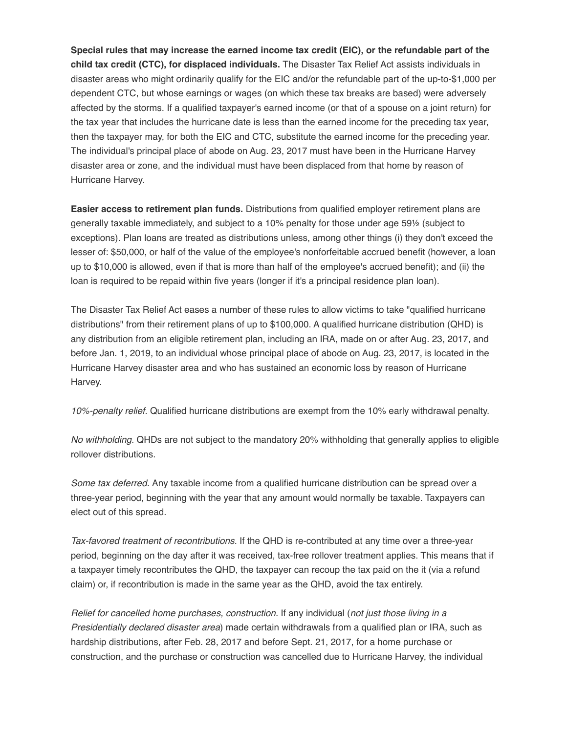**Special rules that may increase the earned income tax credit (EIC), or the refundable part of the child tax credit (CTC), for displaced individuals.** The Disaster Tax Relief Act assists individuals in disaster areas who might ordinarily qualify for the EIC and/or the refundable part of the up-to-\$1,000 per dependent CTC, but whose earnings or wages (on which these tax breaks are based) were adversely affected by the storms. If a qualified taxpayer's earned income (or that of a spouse on a joint return) for the tax year that includes the hurricane date is less than the earned income for the preceding tax year, then the taxpayer may, for both the EIC and CTC, substitute the earned income for the preceding year. The individual's principal place of abode on Aug. 23, 2017 must have been in the Hurricane Harvey disaster area or zone, and the individual must have been displaced from that home by reason of Hurricane Harvey.

**Easier access to retirement plan funds.** Distributions from qualified employer retirement plans are generally taxable immediately, and subject to a 10% penalty for those under age 59½ (subject to exceptions). Plan loans are treated as distributions unless, among other things (i) they don't exceed the lesser of: \$50,000, or half of the value of the employee's nonforfeitable accrued benefit (however, a loan up to \$10,000 is allowed, even if that is more than half of the employee's accrued benefit); and (ii) the loan is required to be repaid within five years (longer if it's a principal residence plan loan).

The Disaster Tax Relief Act eases a number of these rules to allow victims to take "qualified hurricane distributions" from their retirement plans of up to \$100,000. A qualified hurricane distribution (QHD) is any distribution from an eligible retirement plan, including an IRA, made on or after Aug. 23, 2017, and before Jan. 1, 2019, to an individual whose principal place of abode on Aug. 23, 2017, is located in the Hurricane Harvey disaster area and who has sustained an economic loss by reason of Hurricane Harvey.

*10%-penalty relief.* Qualified hurricane distributions are exempt from the 10% early withdrawal penalty.

*No withholding.* QHDs are not subject to the mandatory 20% withholding that generally applies to eligible rollover distributions.

*Some tax deferred.* Any taxable income from a qualified hurricane distribution can be spread over a three-year period, beginning with the year that any amount would normally be taxable. Taxpayers can elect out of this spread.

*Tax-favored treatment of recontributions.* If the QHD is re-contributed at any time over a three-year period, beginning on the day after it was received, tax-free rollover treatment applies. This means that if a taxpayer timely recontributes the QHD, the taxpayer can recoup the tax paid on the it (via a refund claim) or, if recontribution is made in the same year as the QHD, avoid the tax entirely.

*Relief for cancelled home purchases, construction.* If any individual (*not just those living in a Presidentially declared disaster area*) made certain withdrawals from a qualified plan or IRA, such as hardship distributions, after Feb. 28, 2017 and before Sept. 21, 2017, for a home purchase or construction, and the purchase or construction was cancelled due to Hurricane Harvey, the individual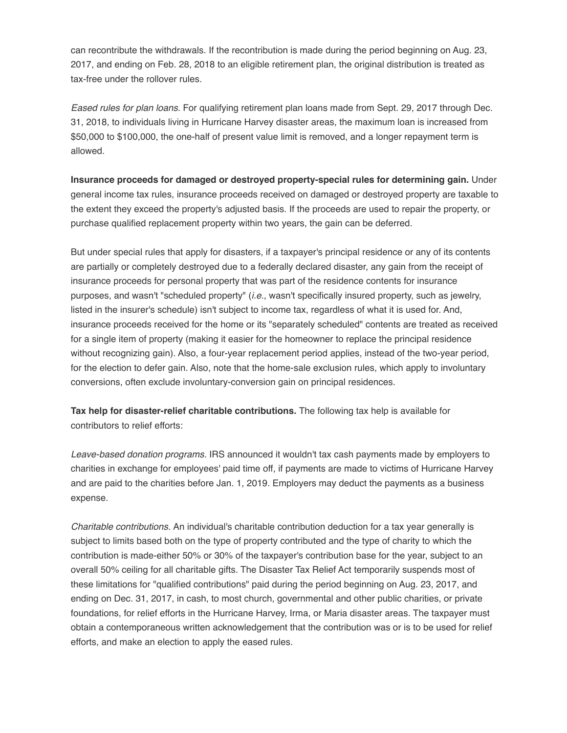can recontribute the withdrawals. If the recontribution is made during the period beginning on Aug. 23, 2017, and ending on Feb. 28, 2018 to an eligible retirement plan, the original distribution is treated as tax-free under the rollover rules.

*Eased rules for plan loans.* For qualifying retirement plan loans made from Sept. 29, 2017 through Dec. 31, 2018, to individuals living in Hurricane Harvey disaster areas, the maximum loan is increased from \$50,000 to \$100,000, the one-half of present value limit is removed, and a longer repayment term is allowed.

**Insurance proceeds for damaged or destroyed property-special rules for determining gain.** Under general income tax rules, insurance proceeds received on damaged or destroyed property are taxable to the extent they exceed the property's adjusted basis. If the proceeds are used to repair the property, or purchase qualified replacement property within two years, the gain can be deferred.

But under special rules that apply for disasters, if a taxpayer's principal residence or any of its contents are partially or completely destroyed due to a federally declared disaster, any gain from the receipt of insurance proceeds for personal property that was part of the residence contents for insurance purposes, and wasn't "scheduled property" (*i.e.*, wasn't specifically insured property, such as jewelry, listed in the insurer's schedule) isn't subject to income tax, regardless of what it is used for. And, insurance proceeds received for the home or its "separately scheduled" contents are treated as received for a single item of property (making it easier for the homeowner to replace the principal residence without recognizing gain). Also, a four-year replacement period applies, instead of the two-year period, for the election to defer gain. Also, note that the home-sale exclusion rules, which apply to involuntary conversions, often exclude involuntary-conversion gain on principal residences.

**Tax help for disaster-relief charitable contributions.** The following tax help is available for contributors to relief efforts:

*Leave-based donation programs.* IRS announced it wouldn't tax cash payments made by employers to charities in exchange for employees' paid time off, if payments are made to victims of Hurricane Harvey and are paid to the charities before Jan. 1, 2019. Employers may deduct the payments as a business expense.

*Charitable contributions.* An individual's charitable contribution deduction for a tax year generally is subject to limits based both on the type of property contributed and the type of charity to which the contribution is made-either 50% or 30% of the taxpayer's contribution base for the year, subject to an overall 50% ceiling for all charitable gifts. The Disaster Tax Relief Act temporarily suspends most of these limitations for "qualified contributions" paid during the period beginning on Aug. 23, 2017, and ending on Dec. 31, 2017, in cash, to most church, governmental and other public charities, or private foundations, for relief efforts in the Hurricane Harvey, Irma, or Maria disaster areas. The taxpayer must obtain a contemporaneous written acknowledgement that the contribution was or is to be used for relief efforts, and make an election to apply the eased rules.